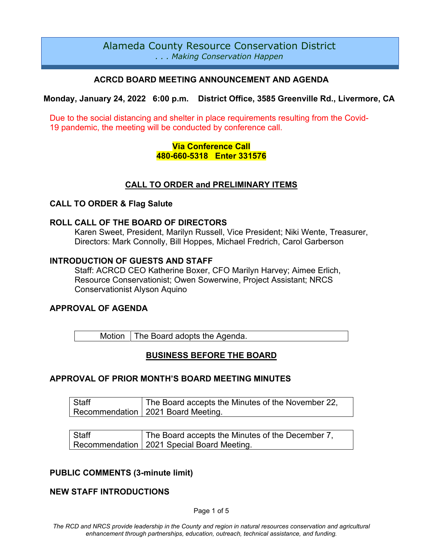# Alameda County Resource Conservation District *. . . Making Conservation Happen*

# **ACRCD BOARD MEETING ANNOUNCEMENT AND AGENDA**

**Monday, January 24, 2022 6:00 p.m. District Office, 3585 Greenville Rd., Livermore, CA**

Due to the social distancing and shelter in place requirements resulting from the Covid-19 pandemic, the meeting will be conducted by conference call.

### **Via Conference Call 480-660-5318 Enter 331576**

# **CALL TO ORDER and PRELIMINARY ITEMS**

#### **CALL TO ORDER & Flag Salute**

#### **ROLL CALL OF THE BOARD OF DIRECTORS**

Karen Sweet, President, Marilyn Russell, Vice President; Niki Wente, Treasurer, Directors: Mark Connolly, Bill Hoppes, Michael Fredrich, Carol Garberson

#### **INTRODUCTION OF GUESTS AND STAFF**

Staff: ACRCD CEO Katherine Boxer, CFO Marilyn Harvey; Aimee Erlich, Resource Conservationist; Owen Sowerwine, Project Assistant; NRCS Conservationist Alyson Aquino

### **APPROVAL OF AGENDA**

Motion  $\vert$  The Board adopts the Agenda.

### **BUSINESS BEFORE THE BOARD**

### **APPROVAL OF PRIOR MONTH'S BOARD MEETING MINUTES**

| Staff | The Board accepts the Minutes of the November 22, |  |
|-------|---------------------------------------------------|--|
|       | Recommendation   2021 Board Meeting.              |  |

| Staff | The Board accepts the Minutes of the December 7, |  |
|-------|--------------------------------------------------|--|
|       | Recommendation   2021 Special Board Meeting.     |  |

### **PUBLIC COMMENTS (3-minute limit)**

### **NEW STAFF INTRODUCTIONS**

Page 1 of 5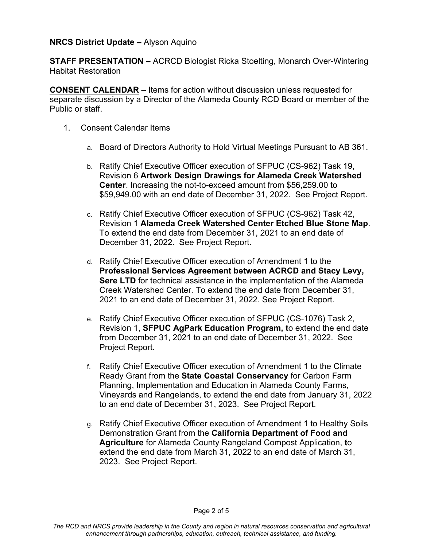### **NRCS District Update –** Alyson Aquino

**STAFF PRESENTATION –** ACRCD Biologist Ricka Stoelting, Monarch Over-Wintering Habitat Restoration

**CONSENT CALENDAR** – Items for action without discussion unless requested for separate discussion by a Director of the Alameda County RCD Board or member of the Public or staff.

- 1. Consent Calendar Items
	- a. Board of Directors Authority to Hold Virtual Meetings Pursuant to AB 361.
	- b. Ratify Chief Executive Officer execution of SFPUC (CS-962) Task 19, Revision 6 **Artwork Design Drawings for Alameda Creek Watershed Center**. Increasing the not-to-exceed amount from \$56,259.00 to \$59,949.00 with an end date of December 31, 2022. See Project Report.
	- c. Ratify Chief Executive Officer execution of SFPUC (CS-962) Task 42, Revision 1 **Alameda Creek Watershed Center Etched Blue Stone Map**. To extend the end date from December 31, 2021 to an end date of December 31, 2022. See Project Report.
	- d. Ratify Chief Executive Officer execution of Amendment 1 to the **Professional Services Agreement between ACRCD and Stacy Levy, Sere LTD** for technical assistance in the implementation of the Alameda Creek Watershed Center. To extend the end date from December 31, 2021 to an end date of December 31, 2022. See Project Report.
	- e. Ratify Chief Executive Officer execution of SFPUC (CS-1076) Task 2, Revision 1, **SFPUC AgPark Education Program, t**o extend the end date from December 31, 2021 to an end date of December 31, 2022. See Project Report.
	- f. Ratify Chief Executive Officer execution of Amendment 1 to the Climate Ready Grant from the **State Coastal Conservancy** for Carbon Farm Planning, Implementation and Education in Alameda County Farms, Vineyards and Rangelands, **t**o extend the end date from January 31, 2022 to an end date of December 31, 2023. See Project Report.
	- g. Ratify Chief Executive Officer execution of Amendment 1 to Healthy Soils Demonstration Grant from the **California Department of Food and Agriculture** for Alameda County Rangeland Compost Application, **t**o extend the end date from March 31, 2022 to an end date of March 31, 2023. See Project Report.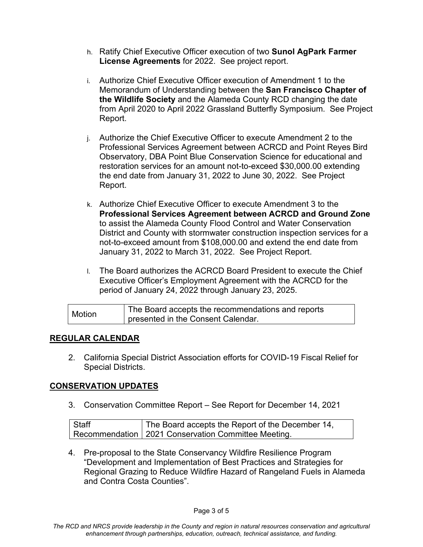- h. Ratify Chief Executive Officer execution of two **Sunol AgPark Farmer License Agreements** for 2022. See project report.
- i. Authorize Chief Executive Officer execution of Amendment 1 to the Memorandum of Understanding between the **San Francisco Chapter of the Wildlife Society** and the Alameda County RCD changing the date from April 2020 to April 2022 Grassland Butterfly Symposium. See Project Report.
- j. Authorize the Chief Executive Officer to execute Amendment 2 to the Professional Services Agreement between ACRCD and Point Reyes Bird Observatory, DBA Point Blue Conservation Science for educational and restoration services for an amount not-to-exceed \$30,000.00 extending the end date from January 31, 2022 to June 30, 2022. See Project Report.
- k. Authorize Chief Executive Officer to execute Amendment 3 to the **Professional Services Agreement between ACRCD and Ground Zone** to assist the Alameda County Flood Control and Water Conservation District and County with stormwater construction inspection services for a not-to-exceed amount from \$108,000.00 and extend the end date from January 31, 2022 to March 31, 2022. See Project Report.
- l. The Board authorizes the ACRCD Board President to execute the Chief Executive Officer's Employment Agreement with the ACRCD for the period of January 24, 2022 through January 23, 2025.

| <b>Motion</b> | The Board accepts the recommendations and reports |
|---------------|---------------------------------------------------|
|               | presented in the Consent Calendar.                |

# **REGULAR CALENDAR**

2. California Special District Association efforts for COVID-19 Fiscal Relief for Special Districts.

### **CONSERVATION UPDATES**

3. Conservation Committee Report – See Report for December 14, 2021

| Staff | The Board accepts the Report of the December 14,      |
|-------|-------------------------------------------------------|
|       | Recommendation   2021 Conservation Committee Meeting. |

4. Pre-proposal to the State Conservancy Wildfire Resilience Program "Development and Implementation of Best Practices and Strategies for Regional Grazing to Reduce Wildfire Hazard of Rangeland Fuels in Alameda and Contra Costa Counties".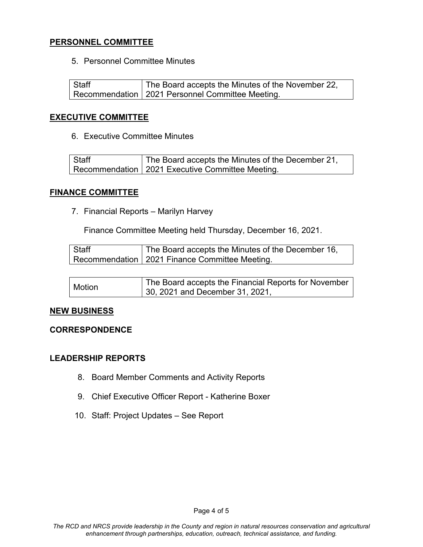# **PERSONNEL COMMITTEE**

5. Personnel Committee Minutes

**Staff** Recommendation The Board accepts the Minutes of the November 22, 2021 Personnel Committee Meeting.

### **EXECUTIVE COMMITTEE**

6. Executive Committee Minutes

| Staff | The Board accepts the Minutes of the December 21,  |
|-------|----------------------------------------------------|
|       | Recommendation   2021 Executive Committee Meeting. |

#### **FINANCE COMMITTEE**

7. Financial Reports – Marilyn Harvey

Finance Committee Meeting held Thursday, December 16, 2021.

| Staff | The Board accepts the Minutes of the December 16, |
|-------|---------------------------------------------------|
|       | Recommendation   2021 Finance Committee Meeting.  |

| Motion | The Board accepts the Financial Reports for November |
|--------|------------------------------------------------------|
|        | 30, 2021 and December 31, 2021,                      |

### **NEW BUSINESS**

#### **CORRESPONDENCE**

### **LEADERSHIP REPORTS**

- 8. Board Member Comments and Activity Reports
- 9. Chief Executive Officer Report Katherine Boxer
- 10. Staff: Project Updates See Report